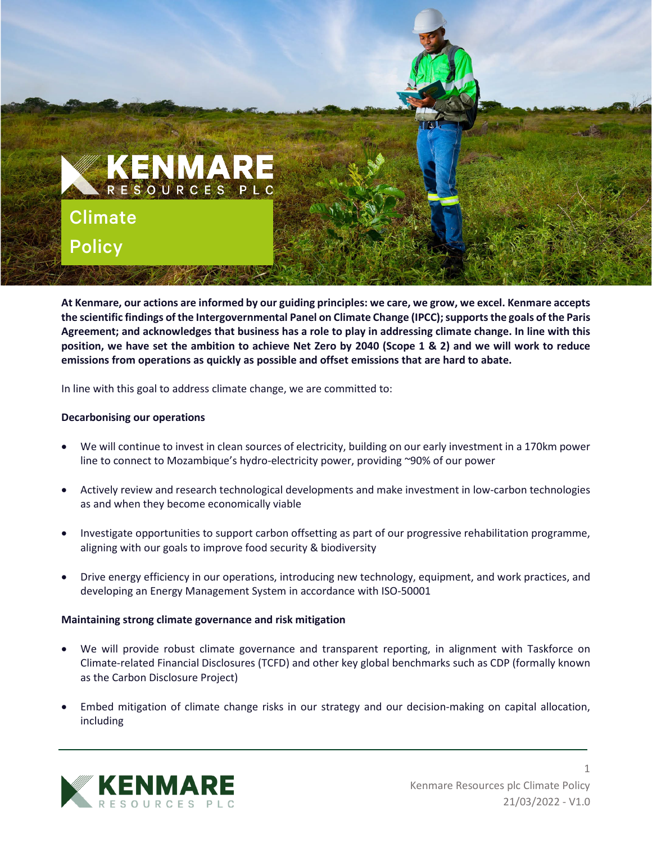

**At Kenmare, our actions are informed by our guiding principles: we care, we grow, we excel. Kenmare accepts the scientific findings of the Intergovernmental Panel on Climate Change (IPCC); supports the goals of the Paris Agreement; and acknowledges that business has a role to play in addressing climate change. In line with this position, we have set the ambition to achieve Net Zero by 2040 (Scope 1 & 2) and we will work to reduce emissions from operations as quickly as possible and offset emissions that are hard to abate.** 

In line with this goal to address climate change, we are committed to:

#### **Decarbonising our operations**

- We will continue to invest in clean sources of electricity, building on our early investment in a 170km power line to connect to Mozambique's hydro-electricity power, providing ~90% of our power
- Actively review and research technological developments and make investment in low-carbon technologies as and when they become economically viable
- Investigate opportunities to support carbon offsetting as part of our progressive rehabilitation programme, aligning with our goals to improve food security & biodiversity
- Drive energy efficiency in our operations, introducing new technology, equipment, and work practices, and developing an Energy Management System in accordance with ISO-50001

### **Maintaining strong climate governance and risk mitigation**

- We will provide robust climate governance and transparent reporting, in alignment with Taskforce on Climate-related Financial Disclosures (TCFD) and other key global benchmarks such as CDP (formally known as the Carbon Disclosure Project)
- Embed mitigation of climate change risks in our strategy and our decision-making on capital allocation, including



1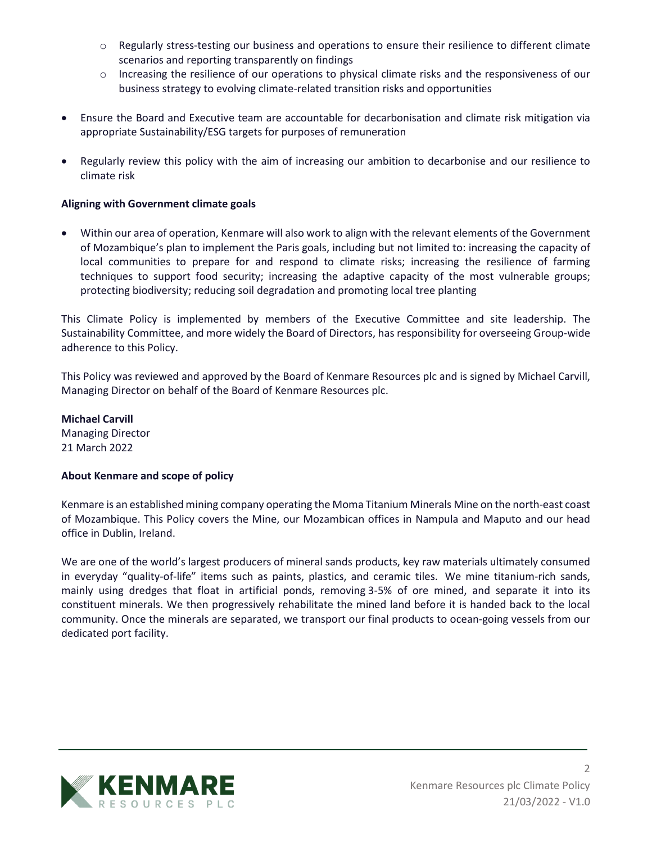- o Regularly stress-testing our business and operations to ensure their resilience to different climate scenarios and reporting transparently on findings
- o Increasing the resilience of our operations to physical climate risks and the responsiveness of our business strategy to evolving climate-related transition risks and opportunities
- Ensure the Board and Executive team are accountable for decarbonisation and climate risk mitigation via appropriate Sustainability/ESG targets for purposes of remuneration
- Regularly review this policy with the aim of increasing our ambition to decarbonise and our resilience to climate risk

# **Aligning with Government climate goals**

• Within our area of operation, Kenmare will also work to align with the relevant elements of the Government of Mozambique's plan to implement the Paris goals, including but not limited to: increasing the capacity of local communities to prepare for and respond to climate risks; increasing the resilience of farming techniques to support food security; increasing the adaptive capacity of the most vulnerable groups; protecting biodiversity; reducing soil degradation and promoting local tree planting

This Climate Policy is implemented by members of the Executive Committee and site leadership. The Sustainability Committee, and more widely the Board of Directors, has responsibility for overseeing Group-wide adherence to this Policy.

This Policy was reviewed and approved by the Board of Kenmare Resources plc and is signed by Michael Carvill, Managing Director on behalf of the Board of Kenmare Resources plc.

**Michael Carvill**  Managing Director 21 March 2022

### **About Kenmare and scope of policy**

Kenmare is an established mining company operating the Moma Titanium Minerals Mine on the north-east coast of Mozambique. This Policy covers the Mine, our Mozambican offices in Nampula and Maputo and our head office in Dublin, Ireland.

We are one of the world's largest producers of mineral sands products, key raw materials ultimately consumed in everyday "quality-of-life" items such as paints, plastics, and ceramic tiles. We mine titanium-rich sands, mainly using dredges that float in artificial ponds, removing 3-5% of ore mined, and separate it into its constituent minerals. We then progressively rehabilitate the mined land before it is handed back to the local community. Once the minerals are separated, we transport our final products to ocean-going vessels from our dedicated port facility.



2